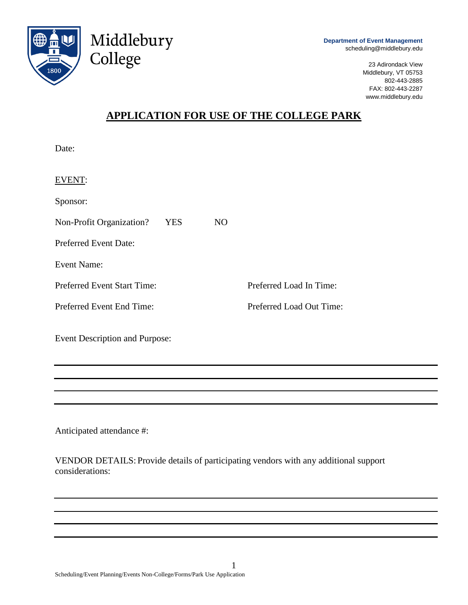

**Department of Event Management** scheduling@middlebury.edu

> 23 Adirondack View Middlebury, VT 05753 802-443-2885 FAX: 802-443-2287 www.middlebury.edu

# **APPLICATION FOR USE OF THE COLLEGE PARK**

Date:

| EVENT:                             |      |     |                          |
|------------------------------------|------|-----|--------------------------|
| Sponsor:                           |      |     |                          |
| Non-Profit Organization?           | YES. | NO. |                          |
| <b>Preferred Event Date:</b>       |      |     |                          |
| <b>Event Name:</b>                 |      |     |                          |
| <b>Preferred Event Start Time:</b> |      |     | Preferred Load In Time:  |
| Preferred Event End Time:          |      |     | Preferred Load Out Time: |
|                                    |      |     |                          |

Event Description and Purpose:

Middlebury

College

Anticipated attendance #:

VENDOR DETAILS: Provide details of participating vendors with any additional support considerations: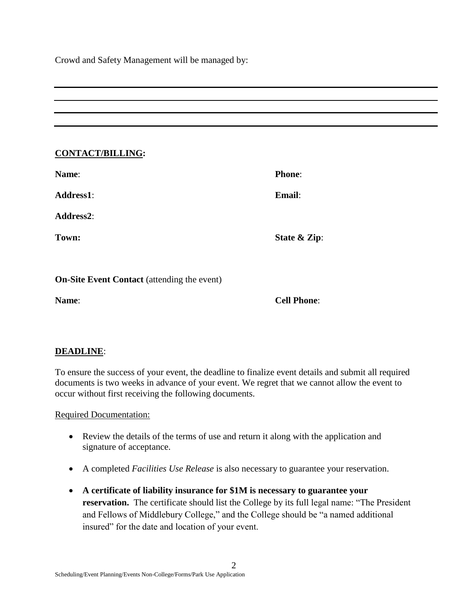Crowd and Safety Management will be managed by:

### **CONTACT/BILLING:**

| <b>Name:</b>     | <b>Phone:</b> |
|------------------|---------------|
| <b>Address1:</b> | Email:        |
| <b>Address2:</b> |               |
| Town:            | State & Zip:  |

**On-Site Event Contact** (attending the event)

**Name**: **Cell Phone**:

## **DEADLINE**:

To ensure the success of your event, the deadline to finalize event details and submit all required documents is two weeks in advance of your event. We regret that we cannot allow the event to occur without first receiving the following documents.

Required Documentation:

- Review the details of the terms of use and return it along with the application and signature of acceptance.
- A completed *Facilities Use Release* is also necessary to guarantee your reservation.
- **A certificate of liability insurance for \$1M is necessary to guarantee your reservation.** The certificate should list the College by its full legal name: "The President and Fellows of Middlebury College," and the College should be "a named additional insured" for the date and location of your event.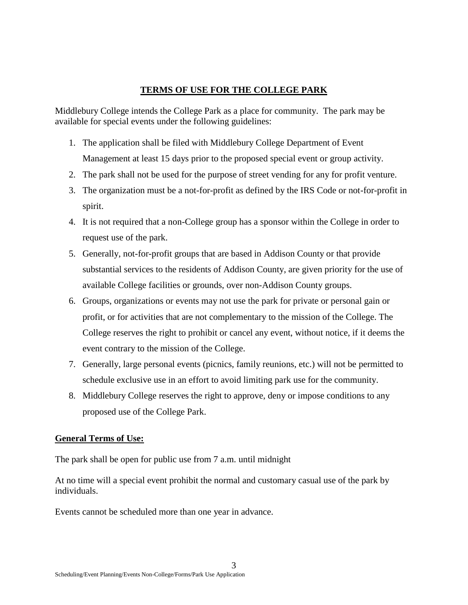## **TERMS OF USE FOR THE COLLEGE PARK**

Middlebury College intends the College Park as a place for community. The park may be available for special events under the following guidelines:

- 1. The application shall be filed with Middlebury College Department of Event Management at least 15 days prior to the proposed special event or group activity.
- 2. The park shall not be used for the purpose of street vending for any for profit venture.
- 3. The organization must be a not-for-profit as defined by the IRS Code or not-for-profit in spirit.
- 4. It is not required that a non-College group has a sponsor within the College in order to request use of the park.
- 5. Generally, not-for-profit groups that are based in Addison County or that provide substantial services to the residents of Addison County, are given priority for the use of available College facilities or grounds, over non-Addison County groups.
- 6. Groups, organizations or events may not use the park for private or personal gain or profit, or for activities that are not complementary to the mission of the College. The College reserves the right to prohibit or cancel any event, without notice, if it deems the event contrary to the mission of the College.
- 7. Generally, large personal events (picnics, family reunions, etc.) will not be permitted to schedule exclusive use in an effort to avoid limiting park use for the community.
- 8. Middlebury College reserves the right to approve, deny or impose conditions to any proposed use of the College Park.

## **General Terms of Use:**

The park shall be open for public use from 7 a.m. until midnight

At no time will a special event prohibit the normal and customary casual use of the park by individuals.

Events cannot be scheduled more than one year in advance.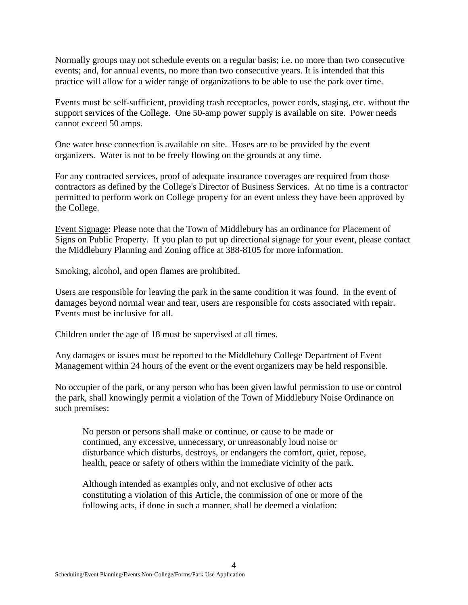Normally groups may not schedule events on a regular basis; i.e. no more than two consecutive events; and, for annual events, no more than two consecutive years. It is intended that this practice will allow for a wider range of organizations to be able to use the park over time.

Events must be self-sufficient, providing trash receptacles, power cords, staging, etc. without the support services of the College. One 50-amp power supply is available on site. Power needs cannot exceed 50 amps.

One water hose connection is available on site. Hoses are to be provided by the event organizers. Water is not to be freely flowing on the grounds at any time.

For any contracted services, proof of adequate insurance coverages are required from those contractors as defined by the College's Director of Business Services. At no time is a contractor permitted to perform work on College property for an event unless they have been approved by the College.

Event Signage: Please note that the Town of Middlebury has an ordinance for Placement of Signs on Public Property. If you plan to put up directional signage for your event, please contact the Middlebury Planning and Zoning office at 388-8105 for more information.

Smoking, alcohol, and open flames are prohibited.

Users are responsible for leaving the park in the same condition it was found. In the event of damages beyond normal wear and tear, users are responsible for costs associated with repair. Events must be inclusive for all.

Children under the age of 18 must be supervised at all times.

Any damages or issues must be reported to the Middlebury College Department of Event Management within 24 hours of the event or the event organizers may be held responsible.

No occupier of the park, or any person who has been given lawful permission to use or control the park, shall knowingly permit a violation of the Town of Middlebury Noise Ordinance on such premises:

No person or persons shall make or continue, or cause to be made or continued, any excessive, unnecessary, or unreasonably loud noise or disturbance which disturbs, destroys, or endangers the comfort, quiet, repose, health, peace or safety of others within the immediate vicinity of the park.

Although intended as examples only, and not exclusive of other acts constituting a violation of this Article, the commission of one or more of the following acts, if done in such a manner, shall be deemed a violation: